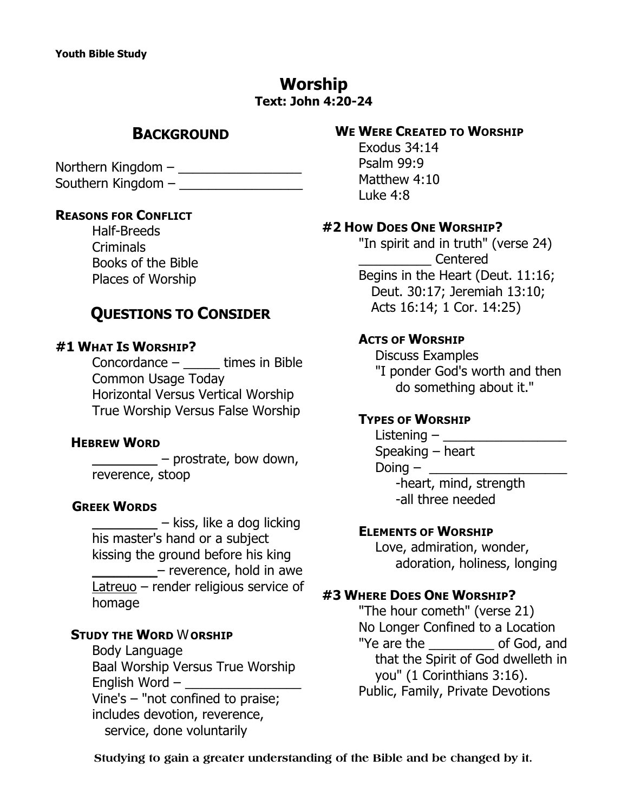# **Worship Text: John 4:20-24**

# **BACKGROUND**

Northern Kingdom – \_\_\_\_\_\_\_\_\_\_\_\_\_\_\_\_\_ Southern Kingdom –

#### **REASONS FOR CONFLICT**

Half-Breeds Criminals Books of the Bible Places of Worship

# **QUESTIONS TO CONSIDER**

#### **#1 WHAT IS WORSHIP?**

Concordance – \_\_\_\_\_ times in Bible Common Usage Today Horizontal Versus Vertical Worship True Worship Versus False Worship

#### **HEBREW WORD**

*\_\_\_\_\_\_\_\_\_* – prostrate, bow down, reverence, stoop

#### **GREEK WORDS**

*\_\_\_\_\_\_\_\_\_* – kiss, like a dog licking his master's hand or a subject kissing the ground before his king *\_\_\_\_\_\_\_\_\_*– reverence, hold in awe *Latreuo* – render religious service of homage

#### **STUDY THE WORD** *W***ORSHIP**

Body Language Baal Worship Versus True Worship English Word – *\_\_\_\_\_\_\_\_\_\_\_\_\_\_\_\_* Vine's – "not confined to praise; includes devotion, reverence, service, done voluntarily

## **WE WERE CREATED TO WORSHIP**

Exodus 34:14 Psalm 99:9 Matthew 4:10 Luke 4:8

#### **#2 HOW DOES ONE WORSHIP?**

*"In spirit and in truth"* (verse 24) \_\_\_\_\_\_\_\_\_\_ Centered Begins in the Heart (Deut. 11:16; Deut. 30:17; Jeremiah 13:10; Acts 16:14; 1 Cor. 14:25)

#### **ACTS OF WORSHIP**

 Discuss Examples "I ponder God's worth and then do something about it."

### **TYPES OF WORSHIP**

 $Listenering -$  Speaking – heart Doing – \_\_\_\_\_\_\_\_\_\_\_\_\_\_\_\_\_\_\_ -heart, mind, strength -all three needed

#### **ELEMENTS OF WORSHIP**

 Love, admiration, wonder, adoration, holiness, longing

#### **#3 WHERE DOES ONE WORSHIP?**

*"The hour cometh"* (verse 21) No Longer Confined to a Location *"Ye are the \_\_\_\_\_\_\_\_\_ of God, and that the Spirit of God dwelleth in you"* (1 Corinthians 3:16). Public, Family, Private Devotions

**Studying to gain a greater understanding of the Bible and be changed by it.**